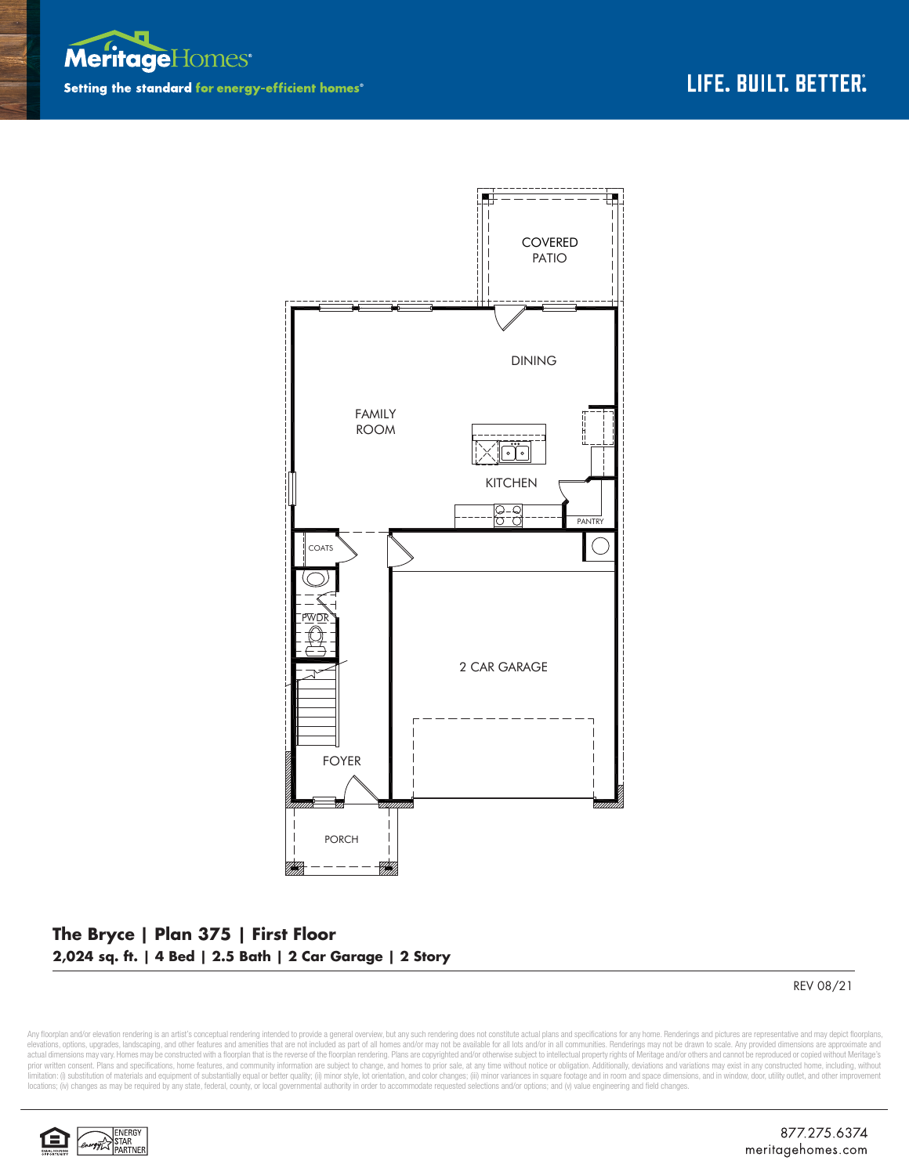



## **The Bryce | Plan 375 | First Floor 2,024 sq. ft. | 4 Bed | 2.5 Bath | 2 Car Garage | 2 Story**

REV 08/21

Any floorplan and/or elevation rendering is an artist's conceptual rendering intended to provide a general overview, but any such rendering does not constitute actual plans and specifications for any home. Renderings and p elevations, options, upgrades, landscaping, and other features and amenities that are not included as part of all homes and/or may not be available for all lots and/or in all communities. Renderings may not be drawn to sca limitation: (i) substitution of materials and equipment of substantially equal or better quality; (ii) minor style, lot orientation, and color changes; (iii) minor variances in square footage and in room and space dimensio locations; (iv) changes as may be required by any state, federal, county, or local governmental authority in order to accommodate requested selections and/or options; and (v) value engineering and field changes.